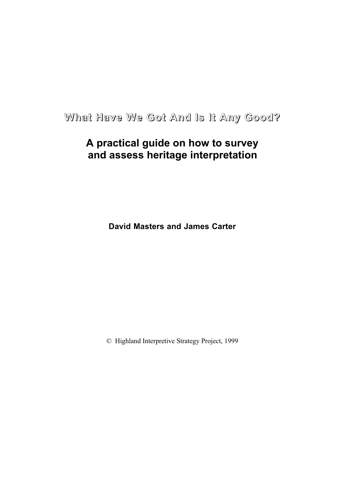**What Have We Got And Is It Any Good?**

# **A practical guide on how to survey and assess heritage interpretation**

**David Masters and James Carter**

© Highland Interpretive Strategy Project, 1999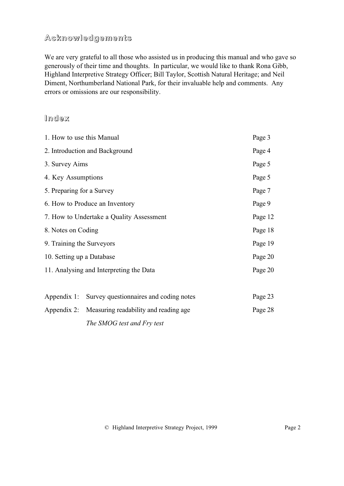# **Acknowledgements**

We are very grateful to all those who assisted us in producing this manual and who gave so generously of their time and thoughts. In particular, we would like to thank Rona Gibb, Highland Interpretive Strategy Officer; Bill Taylor, Scottish Natural Heritage; and Neil Diment, Northumberland National Park, for their invaluable help and comments. Any errors or omissions are our responsibility.

# **Index**

| 1. How to use this Manual                |                                                   | Page 3  |
|------------------------------------------|---------------------------------------------------|---------|
| 2. Introduction and Background           |                                                   | Page 4  |
| 3. Survey Aims                           |                                                   | Page 5  |
| 4. Key Assumptions                       |                                                   | Page 5  |
| 5. Preparing for a Survey                |                                                   | Page 7  |
|                                          | 6. How to Produce an Inventory                    | Page 9  |
| 7. How to Undertake a Quality Assessment |                                                   | Page 12 |
| 8. Notes on Coding                       |                                                   | Page 18 |
| 9. Training the Surveyors                |                                                   | Page 19 |
| 10. Setting up a Database                |                                                   | Page 20 |
| 11. Analysing and Interpreting the Data  |                                                   | Page 20 |
| Appendix 1:                              | Survey questionnaires and coding notes            | Page 23 |
|                                          | Appendix 2: Measuring readability and reading age | Page 28 |
|                                          | The SMOG test and Fry test                        |         |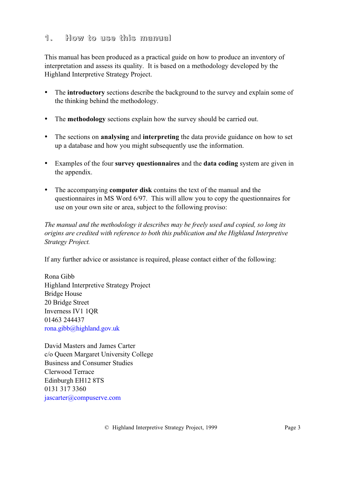# <span id="page-2-0"></span>**1. How to use this manual**

This manual has been produced as a practical guide on how to produce an inventory of interpretation and assess its quality. It is based on a methodology developed by the Highland Interpretive Strategy Project.

- The **introductory** sections describe the background to the survey and explain some of the thinking behind the methodology.
- The **methodology** sections explain how the survey should be carried out.
- The sections on **analysing** and **interpreting** the data provide guidance on how to set up a database and how you might subsequently use the information.
- Examples of the four **survey questionnaires** and the **data coding** system are given in the appendix.
- The accompanying **computer disk** contains the text of the manual and the questionnaires in MS Word 6/97. This will allow you to copy the questionnaires for use on your own site or area, subject to the following proviso:

*The manual and the methodology it describes may be freely used and copied, so long its origins are credited with reference to both this publication and the Highland Interpretive Strategy Project.*

If any further advice or assistance is required, please contact either of the following:

Rona Gibb Highland Interpretive Strategy Project Bridge House 20 Bridge Street Inverness IV1 1QR 01463 244437 [rona.gibb@highland.gov.uk](mailto:rona.gibb@highland.gov.uk)

David Masters and James Carter c/o Queen Margaret University College Business and Consumer Studies Clerwood Terrace Edinburgh EH12 8TS 0131 317 3360 [jascarter@compuserve.com](mailto:jascarter@compuserve.com)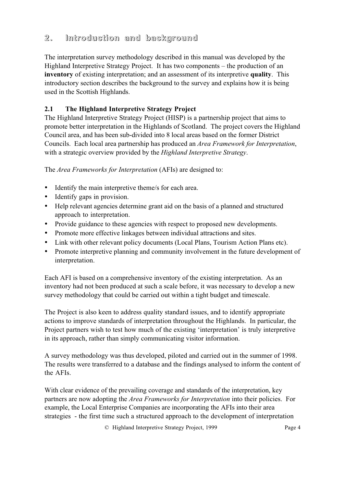# <span id="page-3-0"></span>**2. Introduction and background**

The interpretation survey methodology described in this manual was developed by the Highland Interpretive Strategy Project. It has two components – the production of an **inventory** of existing interpretation; and an assessment of its interpretive **quality**. This introductory section describes the background to the survey and explains how it is being used in the Scottish Highlands.

# **2.1 The Highland Interpretive Strategy Project**

The Highland Interpretive Strategy Project (HISP) is a partnership project that aims to promote better interpretation in the Highlands of Scotland. The project covers the Highland Council area, and has been sub-divided into 8 local areas based on the former District Councils. Each local area partnership has produced an *Area Framework for Interpretation*, with a strategic overview provided by the *Highland Interpretive Strategy*.

The *Area Frameworks for Interpretation* (AFIs) are designed to:

- Identify the main interpretive theme/s for each area.
- Identify gaps in provision.
- Help relevant agencies determine grant aid on the basis of a planned and structured approach to interpretation.
- Provide guidance to these agencies with respect to proposed new developments.
- Promote more effective linkages between individual attractions and sites.
- Link with other relevant policy documents (Local Plans, Tourism Action Plans etc).
- Promote interpretive planning and community involvement in the future development of interpretation.

Each AFI is based on a comprehensive inventory of the existing interpretation. As an inventory had not been produced at such a scale before, it was necessary to develop a new survey methodology that could be carried out within a tight budget and timescale.

The Project is also keen to address quality standard issues, and to identify appropriate actions to improve standards of interpretation throughout the Highlands. In particular, the Project partners wish to test how much of the existing 'interpretation' is truly interpretive in its approach, rather than simply communicating visitor information.

A survey methodology was thus developed, piloted and carried out in the summer of 1998. The results were transferred to a database and the findings analysed to inform the content of the AFIs.

With clear evidence of the prevailing coverage and standards of the interpretation, key partners are now adopting the *Area Frameworks for Interpretation* into their policies. For example, the Local Enterprise Companies are incorporating the AFIs into their area strategies - the first time such a structured approach to the development of interpretation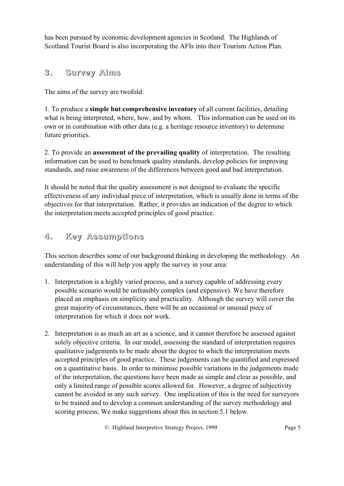<span id="page-4-0"></span>has been pursued by economic development agencies in Scotland. The Highlands of Scotland Tourist Board is also incorporating the AFIs into their Tourism Action Plan.

# **3. Survey Aims**

The aims of the survey are twofold:

1. To produce a **simple but comprehensive inventory** of all current facilities, detailing what is being interpreted, where, how, and by whom. This information can be used on its own or in combination with other data (e.g. a heritage resource inventory) to determine future priorities.

2. To provide an **assessment of the prevailing quality** of interpretation. The resulting information can be used to benchmark quality standards, develop policies for improving standards, and raise awareness of the differences between good and bad interpretation.

It should be noted that the quality assessment is not designed to evaluate the specific effectiveness of any individual piece of interpretation, which is usually done in terms of the objectives for that interpretation. Rather, it provides an indication of the degree to which the interpretation meets accepted principles of good practice.

# **4. Key Assumptions**

This section describes some of our background thinking in developing the methodology. An understanding of this will help you apply the survey in your area:

- 1. Interpretation is a highly varied process, and a survey capable of addressing every possible scenario would be unfeasibly complex (and expensive). We have therefore placed an emphasis on simplicity and practicality. Although the survey will cover the great majority of circumstances, there will be an occasional or unusual piece of interpretation for which it does not work.
- 2. Interpretation is as much an art as a science, and it cannot therefore be assessed against solely objective criteria. In our model, assessing the standard of interpretation requires qualitative judgements to be made about the degree to which the interpretation meets accepted principles of good practice. These judgements can be quantified and expressed on a quantitative basis. In order to minimise possible variations in the judgements made of the interpretation, the questions have been made as simple and clear as possible, and only a limited range of possible scores allowed for. However, a degree of subjectivity cannot be avoided in any such survey. One implication of this is the need for surveyors to be trained and to develop a common understanding of the survey methodology and scoring process. We make suggestions about this in section 5.1 below.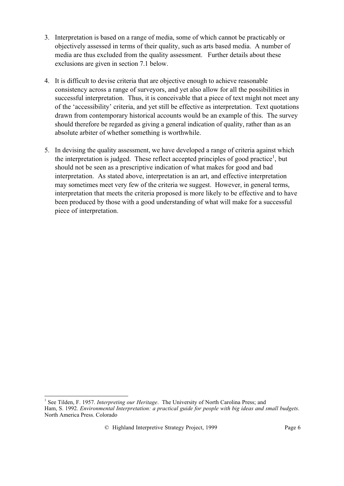- 3. Interpretation is based on a range of media, some of which cannot be practicably or objectively assessed in terms of their quality, such as arts based media. A number of media are thus excluded from the quality assessment. Further details about these exclusions are given in section 7.1 below.
- 4. It is difficult to devise criteria that are objective enough to achieve reasonable consistency across a range of surveyors, and yet also allow for all the possibilities in successful interpretation. Thus, it is conceivable that a piece of text might not meet any of the 'accessibility' criteria, and yet still be effective as interpretation. Text quotations drawn from contemporary historical accounts would be an example of this. The survey should therefore be regarded as giving a general indication of quality, rather than as an absolute arbiter of whether something is worthwhile.
- 5. In devising the quality assessment, we have developed a range of criteria against which the interpretation is judged. These reflect accepted principles of good practice<sup>1</sup>, but should not be seen as a prescriptive indication of what makes for good and bad interpretation. As stated above, interpretation is an art, and effective interpretation may sometimes meet very few of the criteria we suggest. However, in general terms, interpretation that meets the criteria proposed is more likely to be effective and to have been produced by those with a good understanding of what will make for a successful piece of interpretation.

 $\overline{a}$ <sup>1</sup> See Tilden, F. 1957. *Interpreting our Heritage*. The University of North Carolina Press; and Ham, S. 1992. *Environmental Interpretation: a practical guide for people with big ideas and small budgets*. North America Press. Colorado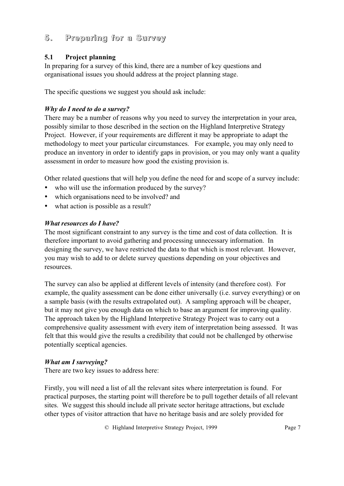# <span id="page-6-0"></span>**5. Preparing for a Survey**

### **5.1 Project planning**

In preparing for a survey of this kind, there are a number of key questions and organisational issues you should address at the project planning stage.

The specific questions we suggest you should ask include:

### *Why do I need to do a survey?*

There may be a number of reasons why you need to survey the interpretation in your area, possibly similar to those described in the section on the Highland Interpretive Strategy Project. However, if your requirements are different it may be appropriate to adapt the methodology to meet your particular circumstances. For example, you may only need to produce an inventory in order to identify gaps in provision, or you may only want a quality assessment in order to measure how good the existing provision is.

Other related questions that will help you define the need for and scope of a survey include:

- who will use the information produced by the survey?
- which organisations need to be involved? and
- what action is possible as a result?

#### *What resources do I have?*

The most significant constraint to any survey is the time and cost of data collection. It is therefore important to avoid gathering and processing unnecessary information. In designing the survey, we have restricted the data to that which is most relevant. However, you may wish to add to or delete survey questions depending on your objectives and resources.

The survey can also be applied at different levels of intensity (and therefore cost). For example, the quality assessment can be done either universally (i.e. survey everything) or on a sample basis (with the results extrapolated out). A sampling approach will be cheaper, but it may not give you enough data on which to base an argument for improving quality. The approach taken by the Highland Interpretive Strategy Project was to carry out a comprehensive quality assessment with every item of interpretation being assessed. It was felt that this would give the results a credibility that could not be challenged by otherwise potentially sceptical agencies.

### *What am I surveying?*

There are two key issues to address here:

Firstly, you will need a list of all the relevant sites where interpretation is found. For practical purposes, the starting point will therefore be to pull together details of all relevant sites. We suggest this should include all private sector heritage attractions, but exclude other types of visitor attraction that have no heritage basis and are solely provided for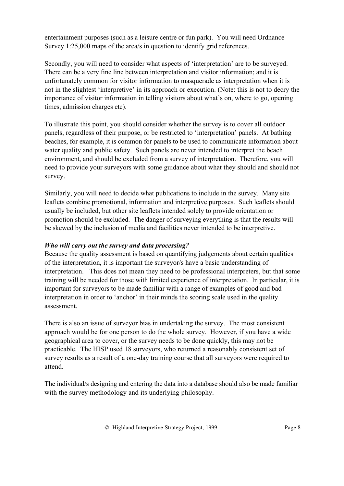entertainment purposes (such as a leisure centre or fun park). You will need Ordnance Survey 1:25,000 maps of the area/s in question to identify grid references.

Secondly, you will need to consider what aspects of 'interpretation' are to be surveyed. There can be a very fine line between interpretation and visitor information; and it is unfortunately common for visitor information to masquerade as interpretation when it is not in the slightest 'interpretive' in its approach or execution. (Note: this is not to decry the importance of visitor information in telling visitors about what's on, where to go, opening times, admission charges etc).

To illustrate this point, you should consider whether the survey is to cover all outdoor panels, regardless of their purpose, or be restricted to 'interpretation' panels. At bathing beaches, for example, it is common for panels to be used to communicate information about water quality and public safety. Such panels are never intended to interpret the beach environment, and should be excluded from a survey of interpretation. Therefore, you will need to provide your surveyors with some guidance about what they should and should not survey.

Similarly, you will need to decide what publications to include in the survey. Many site leaflets combine promotional, information and interpretive purposes. Such leaflets should usually be included, but other site leaflets intended solely to provide orientation or promotion should be excluded. The danger of surveying everything is that the results will be skewed by the inclusion of media and facilities never intended to be interpretive.

#### *Who will carry out the survey and data processing?*

Because the quality assessment is based on quantifying judgements about certain qualities of the interpretation, it is important the surveyor/s have a basic understanding of interpretation. This does not mean they need to be professional interpreters, but that some training will be needed for those with limited experience of interpretation. In particular, it is important for surveyors to be made familiar with a range of examples of good and bad interpretation in order to 'anchor' in their minds the scoring scale used in the quality assessment.

There is also an issue of surveyor bias in undertaking the survey. The most consistent approach would be for one person to do the whole survey. However, if you have a wide geographical area to cover, or the survey needs to be done quickly, this may not be practicable. The HISP used 18 surveyors, who returned a reasonably consistent set of survey results as a result of a one-day training course that all surveyors were required to attend.

The individual/s designing and entering the data into a database should also be made familiar with the survey methodology and its underlying philosophy.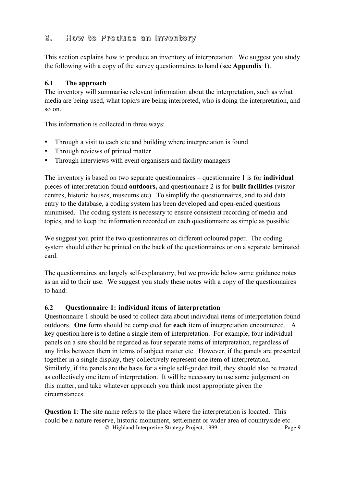# <span id="page-8-0"></span>**6. How to Produce an Inventory**

This section explains how to produce an inventory of interpretation. We suggest you study the following with a copy of the survey questionnaires to hand (see **Appendix 1**).

### **6.1 The approach**

The inventory will summarise relevant information about the interpretation, such as what media are being used, what topic/s are being interpreted, who is doing the interpretation, and so on.

This information is collected in three ways:

- Through a visit to each site and building where interpretation is found
- Through reviews of printed matter
- Through interviews with event organisers and facility managers

The inventory is based on two separate questionnaires – questionnaire 1 is for **individual** pieces of interpretation found **outdoors,** and questionnaire 2 is for **built facilities** (visitor centres, historic houses, museums etc). To simplify the questionnaires, and to aid data entry to the database, a coding system has been developed and open-ended questions minimised. The coding system is necessary to ensure consistent recording of media and topics, and to keep the information recorded on each questionnaire as simple as possible.

We suggest you print the two questionnaires on different coloured paper. The coding system should either be printed on the back of the questionnaires or on a separate laminated card.

The questionnaires are largely self-explanatory, but we provide below some guidance notes as an aid to their use. We suggest you study these notes with a copy of the questionnaires to hand:

### **6.2 Questionnaire 1: individual items of interpretation**

Questionnaire 1 should be used to collect data about individual items of interpretation found outdoors. **One** form should be completed for **each** item of interpretation encountered. A key question here is to define a single item of interpretation. For example, four individual panels on a site should be regarded as four separate items of interpretation, regardless of any links between them in terms of subject matter etc. However, if the panels are presented together in a single display, they collectively represent one item of interpretation. Similarly, if the panels are the basis for a single self-guided trail, they should also be treated as collectively one item of interpretation. It will be necessary to use some judgement on this matter, and take whatever approach you think most appropriate given the circumstances.

© Highland Interpretive Strategy Project, 1999 Page 9 **Question 1**: The site name refers to the place where the interpretation is located. This could be a nature reserve, historic monument, settlement or wider area of countryside etc.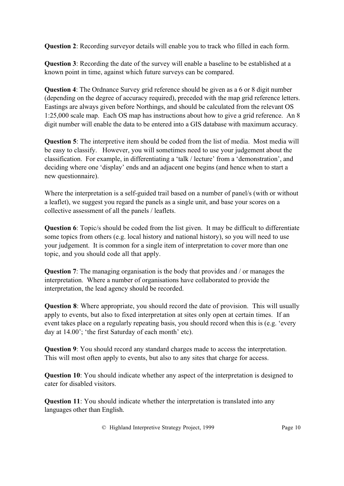**Question 2**: Recording surveyor details will enable you to track who filled in each form.

**Question 3**: Recording the date of the survey will enable a baseline to be established at a known point in time, against which future surveys can be compared.

**Question 4**: The Ordnance Survey grid reference should be given as a 6 or 8 digit number (depending on the degree of accuracy required), preceded with the map grid reference letters. Eastings are always given before Northings, and should be calculated from the relevant OS 1:25,000 scale map. Each OS map has instructions about how to give a grid reference. An 8 digit number will enable the data to be entered into a GIS database with maximum accuracy.

**Question 5**: The interpretive item should be coded from the list of media. Most media will be easy to classify. However, you will sometimes need to use your judgement about the classification. For example, in differentiating a 'talk / lecture' from a 'demonstration', and deciding where one 'display' ends and an adjacent one begins (and hence when to start a new questionnaire).

Where the interpretation is a self-guided trail based on a number of panel/s (with or without a leaflet), we suggest you regard the panels as a single unit, and base your scores on a collective assessment of all the panels / leaflets.

**Question 6**: Topic/s should be coded from the list given. It may be difficult to differentiate some topics from others (e.g. local history and national history), so you will need to use your judgement. It is common for a single item of interpretation to cover more than one topic, and you should code all that apply.

**Question 7**: The managing organisation is the body that provides and / or manages the interpretation. Where a number of organisations have collaborated to provide the interpretation, the lead agency should be recorded.

**Question 8**: Where appropriate, you should record the date of provision. This will usually apply to events, but also to fixed interpretation at sites only open at certain times. If an event takes place on a regularly repeating basis, you should record when this is (e.g. 'every day at 14.00'; 'the first Saturday of each month' etc).

**Question 9:** You should record any standard charges made to access the interpretation. This will most often apply to events, but also to any sites that charge for access.

**Question 10**: You should indicate whether any aspect of the interpretation is designed to cater for disabled visitors.

**Question 11**: You should indicate whether the interpretation is translated into any languages other than English.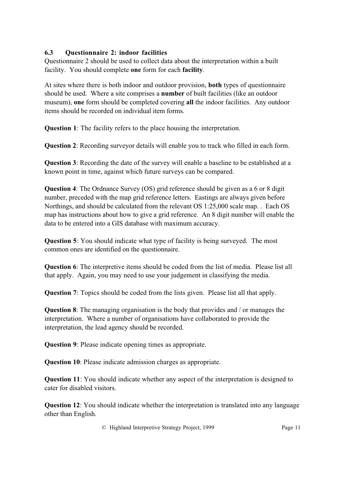### **6.3 Questionnaire 2: indoor facilities**

Questionnaire 2 should be used to collect data about the interpretation within a built facility. You should complete **one** form for each **facility**.

At sites where there is both indoor and outdoor provision, **both** types of questionnaire should be used. Where a site comprises a **number** of built facilities (like an outdoor museum), **one** form should be completed covering **all** the indoor facilities. Any outdoor items should be recorded on individual item forms.

**Question 1**: The facility refers to the place housing the interpretation.

**Question 2**: Recording surveyor details will enable you to track who filled in each form.

**Question 3**: Recording the date of the survey will enable a baseline to be established at a known point in time, against which future surveys can be compared.

**Question 4:** The Ordnance Survey (OS) grid reference should be given as a 6 or 8 digit number, preceded with the map grid reference letters. Eastings are always given before Northings, and should be calculated from the relevant OS 1:25,000 scale map. . Each OS map has instructions about how to give a grid reference. An 8 digit number will enable the data to be entered into a GIS database with maximum accuracy.

**Question 5**: You should indicate what type of facility is being surveyed. The most common ones are identified on the questionnaire.

**Question 6**: The interpretive items should be coded from the list of media. Please list all that apply. Again, you may need to use your judgement in classifying the media.

**Question 7**: Topics should be coded from the lists given. Please list all that apply.

**Question 8**: The managing organisation is the body that provides and / or manages the interpretation. Where a number of organisations have collaborated to provide the interpretation, the lead agency should be recorded.

**Question 9**: Please indicate opening times as appropriate.

**Question 10**: Please indicate admission charges as appropriate.

**Question 11**: You should indicate whether any aspect of the interpretation is designed to cater for disabled visitors.

**Question 12**: You should indicate whether the interpretation is translated into any language other than English.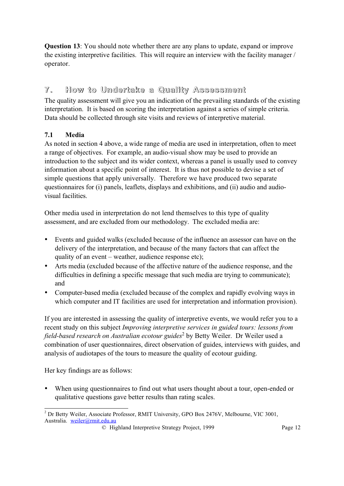<span id="page-11-0"></span>**Question 13**: You should note whether there are any plans to update, expand or improve the existing interpretive facilities. This will require an interview with the facility manager / operator.

# **7. How to Undertake a Quality Assessment**

The quality assessment will give you an indication of the prevailing standards of the existing interpretation. It is based on scoring the interpretation against a series of simple criteria. Data should be collected through site visits and reviews of interpretive material.

## **7.1 Media**

As noted in section 4 above, a wide range of media are used in interpretation, often to meet a range of objectives. For example, an audio-visual show may be used to provide an introduction to the subject and its wider context, whereas a panel is usually used to convey information about a specific point of interest. It is thus not possible to devise a set of simple questions that apply universally. Therefore we have produced two separate questionnaires for (i) panels, leaflets, displays and exhibitions, and (ii) audio and audiovisual facilities.

Other media used in interpretation do not lend themselves to this type of quality assessment, and are excluded from our methodology. The excluded media are:

- Events and guided walks (excluded because of the influence an assessor can have on the delivery of the interpretation, and because of the many factors that can affect the quality of an event – weather, audience response etc);
- Arts media (excluded because of the affective nature of the audience response, and the difficulties in defining a specific message that such media are trying to communicate); and
- Computer-based media (excluded because of the complex and rapidly evolving ways in which computer and IT facilities are used for interpretation and information provision).

If you are interested in assessing the quality of interpretive events, we would refer you to a recent study on this subject *Improving interpretive services in guided tours: lessons from field-based research on Australian ecotour guides*<sup>2</sup> by Betty Weiler. Dr Weiler used a combination of user questionnaires, direct observation of guides, interviews with guides, and analysis of audiotapes of the tours to measure the quality of ecotour guiding.

Her key findings are as follows:

When using questionnaires to find out what users thought about a tour, open-ended or qualitative questions gave better results than rating scales.

 $\overline{a}$  $2^{2}$  Dr Betty Weiler, Associate Professor, RMIT University, GPO Box 2476V, Melbourne, VIC 3001, Australia. weiler@rmit.edu.au

<sup>©</sup> Highland Interpretive Strategy Project, 1999 Page 12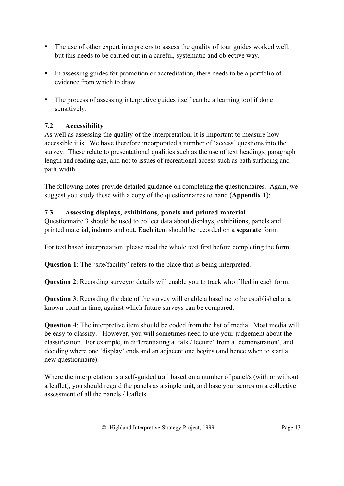- The use of other expert interpreters to assess the quality of tour guides worked well, but this needs to be carried out in a careful, systematic and objective way.
- In assessing guides for promotion or accreditation, there needs to be a portfolio of evidence from which to draw.
- The process of assessing interpretive guides itself can be a learning tool if done sensitively.

### **7.2 Accessibility**

As well as assessing the quality of the interpretation, it is important to measure how accessible it is. We have therefore incorporated a number of 'access' questions into the survey. These relate to presentational qualities such as the use of text headings, paragraph length and reading age, and not to issues of recreational access such as path surfacing and path width.

The following notes provide detailed guidance on completing the questionnaires. Again, we suggest you study these with a copy of the questionnaires to hand (**Appendix 1**):

#### **7.3 Assessing displays, exhibitions, panels and printed material**

Questionnaire 3 should be used to collect data about displays, exhibitions, panels and printed material, indoors and out. **Each** item should be recorded on a **separate** form.

For text based interpretation, please read the whole text first before completing the form.

**Question 1**: The 'site/facility' refers to the place that is being interpreted.

**Question 2**: Recording surveyor details will enable you to track who filled in each form.

**Question 3**: Recording the date of the survey will enable a baseline to be established at a known point in time, against which future surveys can be compared.

**Question 4**: The interpretive item should be coded from the list of media. Most media will be easy to classify. However, you will sometimes need to use your judgement about the classification. For example, in differentiating a 'talk / lecture' from a 'demonstration', and deciding where one 'display' ends and an adjacent one begins (and hence when to start a new questionnaire).

Where the interpretation is a self-guided trail based on a number of panel's (with or without a leaflet), you should regard the panels as a single unit, and base your scores on a collective assessment of all the panels / leaflets.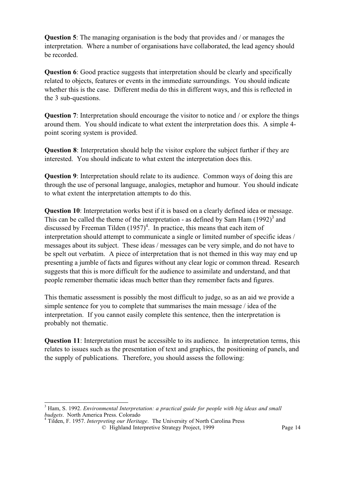**Question 5**: The managing organisation is the body that provides and / or manages the interpretation. Where a number of organisations have collaborated, the lead agency should be recorded.

**Question 6**: Good practice suggests that interpretation should be clearly and specifically related to objects, features or events in the immediate surroundings. You should indicate whether this is the case. Different media do this in different ways, and this is reflected in the 3 sub-questions.

**Question 7:** Interpretation should encourage the visitor to notice and / or explore the things around them. You should indicate to what extent the interpretation does this. A simple 4 point scoring system is provided.

**Question 8**: Interpretation should help the visitor explore the subject further if they are interested. You should indicate to what extent the interpretation does this.

**Question 9**: Interpretation should relate to its audience. Common ways of doing this are through the use of personal language, analogies, metaphor and humour. You should indicate to what extent the interpretation attempts to do this.

**Question 10**: Interpretation works best if it is based on a clearly defined idea or message. This can be called the theme of the interpretation - as defined by Sam Ham  $(1992)^3$  and discussed by Freeman Tilden  $(1957)^4$ . In practice, this means that each item of interpretation should attempt to communicate a single or limited number of specific ideas / messages about its subject. These ideas / messages can be very simple, and do not have to be spelt out verbatim. A piece of interpretation that is not themed in this way may end up presenting a jumble of facts and figures without any clear logic or common thread. Research suggests that this is more difficult for the audience to assimilate and understand, and that people remember thematic ideas much better than they remember facts and figures.

This thematic assessment is possibly the most difficult to judge, so as an aid we provide a simple sentence for you to complete that summarises the main message / idea of the interpretation. If you cannot easily complete this sentence, then the interpretation is probably not thematic.

**Question 11:** Interpretation must be accessible to its audience. In interpretation terms, this relates to issues such as the presentation of text and graphics, the positioning of panels, and the supply of publications. Therefore, you should assess the following:

 $\overline{a}$ 

<sup>&</sup>lt;sup>3</sup> Ham, S. 1992. *Environmental Interpretation: a practical guide for people with big ideas and small budgets*. North America Press. Colorado <sup>4</sup> Tilden, F. 1957. *Interpreting our Heritage*. The University of North Carolina Press

<sup>©</sup> Highland Interpretive Strategy Project, 1999 Page 14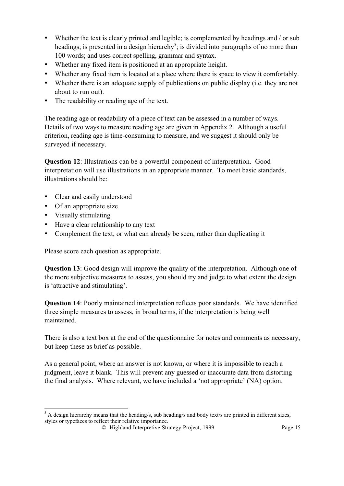- Whether the text is clearly printed and legible; is complemented by headings and / or sub headings; is presented in a design hierarchy<sup>5</sup>; is divided into paragraphs of no more than 100 words; and uses correct spelling, grammar and syntax.
- Whether any fixed item is positioned at an appropriate height.
- Whether any fixed item is located at a place where there is space to view it comfortably.
- Whether there is an adequate supply of publications on public display (i.e. they are not about to run out).
- The readability or reading age of the text.

The reading age or readability of a piece of text can be assessed in a number of ways. Details of two ways to measure reading age are given in Appendix 2. Although a useful criterion, reading age is time-consuming to measure, and we suggest it should only be surveyed if necessary.

**Question 12:** Illustrations can be a powerful component of interpretation. Good interpretation will use illustrations in an appropriate manner. To meet basic standards, illustrations should be:

- Clear and easily understood
- Of an appropriate size
- Visually stimulating
- Have a clear relationship to any text
- Complement the text, or what can already be seen, rather than duplicating it

Please score each question as appropriate.

**Question 13**: Good design will improve the quality of the interpretation. Although one of the more subjective measures to assess, you should try and judge to what extent the design is 'attractive and stimulating'.

**Question 14**: Poorly maintained interpretation reflects poor standards. We have identified three simple measures to assess, in broad terms, if the interpretation is being well maintained.

There is also a text box at the end of the questionnaire for notes and comments as necessary, but keep these as brief as possible.

As a general point, where an answer is not known, or where it is impossible to reach a judgment, leave it blank. This will prevent any guessed or inaccurate data from distorting the final analysis. Where relevant, we have included a 'not appropriate' (NA) option.

 $\overline{a}$  $<sup>5</sup>$  A design hierarchy means that the heading/s, sub heading/s and body text/s are printed in different sizes,</sup> styles or typefaces to reflect their relative importance.

<sup>©</sup> Highland Interpretive Strategy Project, 1999 Page 15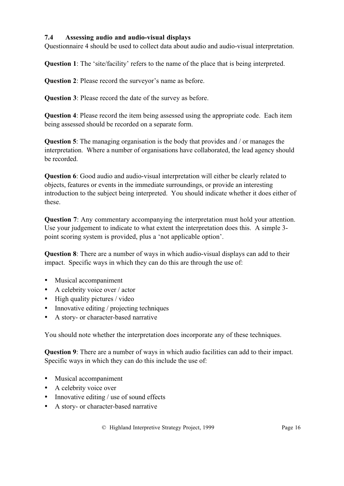### **7.4 Assessing audio and audio-visual displays**

Questionnaire 4 should be used to collect data about audio and audio-visual interpretation.

**Question 1**: The 'site/facility' refers to the name of the place that is being interpreted.

**Question 2**: Please record the surveyor's name as before.

**Question 3**: Please record the date of the survey as before.

**Question 4**: Please record the item being assessed using the appropriate code. Each item being assessed should be recorded on a separate form.

**Question 5**: The managing organisation is the body that provides and / or manages the interpretation. Where a number of organisations have collaborated, the lead agency should be recorded.

**Question 6**: Good audio and audio-visual interpretation will either be clearly related to objects, features or events in the immediate surroundings, or provide an interesting introduction to the subject being interpreted. You should indicate whether it does either of these.

**Question** 7: Any commentary accompanying the interpretation must hold your attention. Use your judgement to indicate to what extent the interpretation does this. A simple 3 point scoring system is provided, plus a 'not applicable option'.

**Question 8**: There are a number of ways in which audio-visual displays can add to their impact. Specific ways in which they can do this are through the use of:

- Musical accompaniment
- A celebrity voice over / actor
- High quality pictures / video
- Innovative editing / projecting techniques
- A story- or character-based narrative

You should note whether the interpretation does incorporate any of these techniques.

**Question 9**: There are a number of ways in which audio facilities can add to their impact. Specific ways in which they can do this include the use of:

- Musical accompaniment
- A celebrity voice over
- Innovative editing / use of sound effects
- A story- or character-based narrative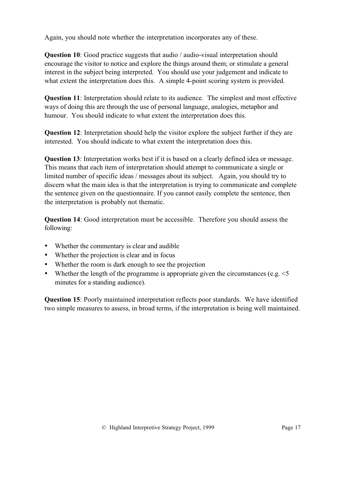Again, you should note whether the interpretation incorporates any of these.

**Question 10**: Good practice suggests that audio / audio-visual interpretation should encourage the visitor to notice and explore the things around them; or stimulate a general interest in the subject being interpreted. You should use your judgement and indicate to what extent the interpretation does this. A simple 4-point scoring system is provided.

**Question 11**: Interpretation should relate to its audience. The simplest and most effective ways of doing this are through the use of personal language, analogies, metaphor and humour. You should indicate to what extent the interpretation does this.

**Question 12**: Interpretation should help the visitor explore the subject further if they are interested. You should indicate to what extent the interpretation does this.

**Question 13**: Interpretation works best if it is based on a clearly defined idea or message. This means that each item of interpretation should attempt to communicate a single or limited number of specific ideas / messages about its subject. Again, you should try to discern what the main idea is that the interpretation is trying to communicate and complete the sentence given on the questionnaire. If you cannot easily complete the sentence, then the interpretation is probably not thematic.

**Question 14**: Good interpretation must be accessible. Therefore you should assess the following:

- Whether the commentary is clear and audible
- Whether the projection is clear and in focus
- Whether the room is dark enough to see the projection
- Whether the length of the programme is appropriate given the circumstances (e.g.  $\le$  5 minutes for a standing audience).

**Question 15**: Poorly maintained interpretation reflects poor standards. We have identified two simple measures to assess, in broad terms, if the interpretation is being well maintained.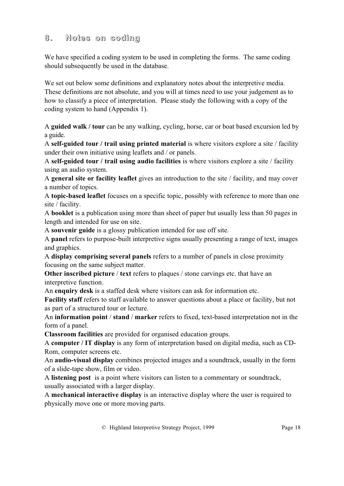# <span id="page-17-0"></span>**8. Notes on coding**

We have specified a coding system to be used in completing the forms. The same coding should subsequently be used in the database.

We set out below some definitions and explanatory notes about the interpretive media. These definitions are not absolute, and you will at times need to use your judgement as to how to classify a piece of interpretation. Please study the following with a copy of the coding system to hand (Appendix 1).

A **guided walk / tour** can be any walking, cycling, horse, car or boat based excursion led by a guide.

A **self-guided tour / trail using printed material** is where visitors explore a site / facility under their own initiative using leaflets and / or panels.

A **self-guided tour / trail using audio facilities** is where visitors explore a site / facility using an audio system.

A **general site or facility leaflet** gives an introduction to the site / facility, and may cover a number of topics.

A **topic-based leaflet** focuses on a specific topic, possibly with reference to more than one site / facility.

A **booklet** is a publication using more than sheet of paper but usually less than 50 pages in length and intended for use on site.

A **souvenir guide** is a glossy publication intended for use off site.

A **panel** refers to purpose-built interpretive signs usually presenting a range of text, images and graphics.

A **display comprising several panels** refers to a number of panels in close proximity focusing on the same subject matter.

**Other inscribed picture** / **text** refers to plaques / stone carvings etc. that have an interpretive function.

An **enquiry desk** is a staffed desk where visitors can ask for information etc.

**Facility staff** refers to staff available to answer questions about a place or facility, but not as part of a structured tour or lecture.

An **information point** / **stand** / **marker** refers to fixed, text-based interpretation not in the form of a panel.

**Classroom facilities** are provided for organised education groups.

A **computer / IT display** is any form of interpretation based on digital media, such as CD-Rom, computer screens etc.

An **audio-visual display** combines projected images and a soundtrack, usually in the form of a slide-tape show, film or video.

A **listening post** is a point where visitors can listen to a commentary or soundtrack, usually associated with a larger display.

A **mechanical interactive display** is an interactive display where the user is required to physically move one or more moving parts.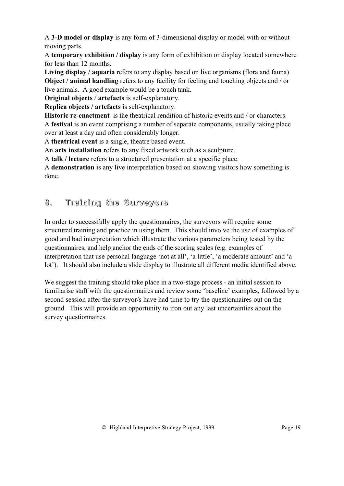<span id="page-18-0"></span>A **3-D model or display** is any form of 3-dimensional display or model with or without moving parts.

A **temporary exhibition / display** is any form of exhibition or display located somewhere for less than 12 months.

**Living display / aquaria** refers to any display based on live organisms (flora and fauna) **Object / animal handling** refers to any facility for feeling and touching objects and / or live animals. A good example would be a touch tank.

**Original objects** / **artefacts** is self-explanatory.

**Replica objects / artefacts** is self-explanatory.

**Historic re-enactment** is the theatrical rendition of historic events and / or characters. A **festival** is an event comprising a number of separate components, usually taking place over at least a day and often considerably longer.

A **theatrical event** is a single, theatre based event.

An **arts installation** refers to any fixed artwork such as a sculpture.

A **talk / lecture** refers to a structured presentation at a specific place.

A **demonstration** is any live interpretation based on showing visitors how something is done.

# **9. Training the Surveyors**

In order to successfully apply the questionnaires, the surveyors will require some structured training and practice in using them. This should involve the use of examples of good and bad interpretation which illustrate the various parameters being tested by the questionnaires, and help anchor the ends of the scoring scales (e.g. examples of interpretation that use personal language 'not at all', 'a little', 'a moderate amount' and 'a lot'). It should also include a slide display to illustrate all different media identified above.

We suggest the training should take place in a two-stage process - an initial session to familiarise staff with the questionnaires and review some 'baseline' examples, followed by a second session after the surveyor/s have had time to try the questionnaires out on the ground. This will provide an opportunity to iron out any last uncertainties about the survey questionnaires.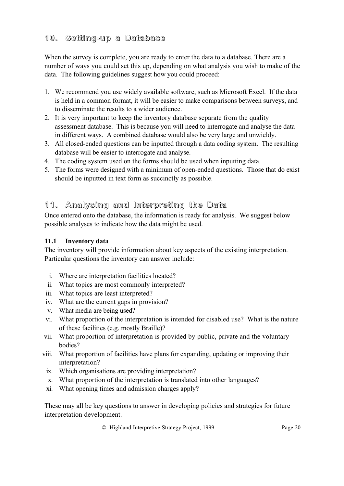# <span id="page-19-0"></span>**10. Setting-up a Database**

When the survey is complete, you are ready to enter the data to a database. There are a number of ways you could set this up, depending on what analysis you wish to make of the data. The following guidelines suggest how you could proceed:

- 1. We recommend you use widely available software, such as Microsoft Excel. If the data is held in a common format, it will be easier to make comparisons between surveys, and to disseminate the results to a wider audience.
- 2. It is very important to keep the inventory database separate from the quality assessment database. This is because you will need to interrogate and analyse the data in different ways. A combined database would also be very large and unwieldy.
- 3. All closed-ended questions can be inputted through a data coding system. The resulting database will be easier to interrogate and analyse.
- 4. The coding system used on the forms should be used when inputting data.
- 5. The forms were designed with a minimum of open-ended questions. Those that do exist should be inputted in text form as succinctly as possible.

# **11. Analysing and Interpreting the Data**

Once entered onto the database, the information is ready for analysis. We suggest below possible analyses to indicate how the data might be used.

### **11.1 Inventory data**

The inventory will provide information about key aspects of the existing interpretation. Particular questions the inventory can answer include:

- i. Where are interpretation facilities located?
- ii. What topics are most commonly interpreted?
- iii. What topics are least interpreted?
- iv. What are the current gaps in provision?
- v. What media are being used?
- vi. What proportion of the interpretation is intended for disabled use? What is the nature of these facilities (e.g. mostly Braille)?
- vii. What proportion of interpretation is provided by public, private and the voluntary bodies?
- viii. What proportion of facilities have plans for expanding, updating or improving their interpretation?
	- ix. Which organisations are providing interpretation?
	- x. What proportion of the interpretation is translated into other languages?
	- xi. What opening times and admission charges apply?

These may all be key questions to answer in developing policies and strategies for future interpretation development.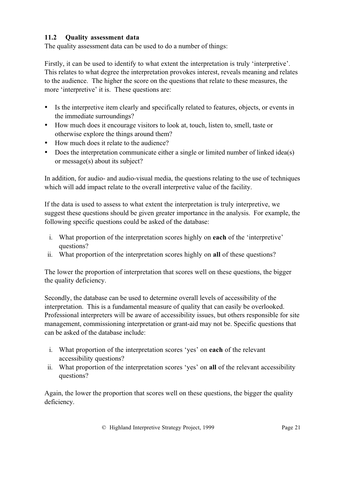### **11.2 Quality assessment data**

The quality assessment data can be used to do a number of things:

Firstly, it can be used to identify to what extent the interpretation is truly 'interpretive'. This relates to what degree the interpretation provokes interest, reveals meaning and relates to the audience. The higher the score on the questions that relate to these measures, the more 'interpretive' it is. These questions are:

- Is the interpretive item clearly and specifically related to features, objects, or events in the immediate surroundings?
- How much does it encourage visitors to look at, touch, listen to, smell, taste or otherwise explore the things around them?
- How much does it relate to the audience?
- Does the interpretation communicate either a single or limited number of linked idea(s) or message(s) about its subject?

In addition, for audio- and audio-visual media, the questions relating to the use of techniques which will add impact relate to the overall interpretive value of the facility.

If the data is used to assess to what extent the interpretation is truly interpretive, we suggest these questions should be given greater importance in the analysis. For example, the following specific questions could be asked of the database:

- i. What proportion of the interpretation scores highly on **each** of the 'interpretive' questions?
- ii. What proportion of the interpretation scores highly on **all** of these questions?

The lower the proportion of interpretation that scores well on these questions, the bigger the quality deficiency.

Secondly, the database can be used to determine overall levels of accessibility of the interpretation. This is a fundamental measure of quality that can easily be overlooked. Professional interpreters will be aware of accessibility issues, but others responsible for site management, commissioning interpretation or grant-aid may not be. Specific questions that can be asked of the database include:

- i. What proportion of the interpretation scores 'yes' on **each** of the relevant accessibility questions?
- ii. What proportion of the interpretation scores 'yes' on **all** of the relevant accessibility questions?

Again, the lower the proportion that scores well on these questions, the bigger the quality deficiency.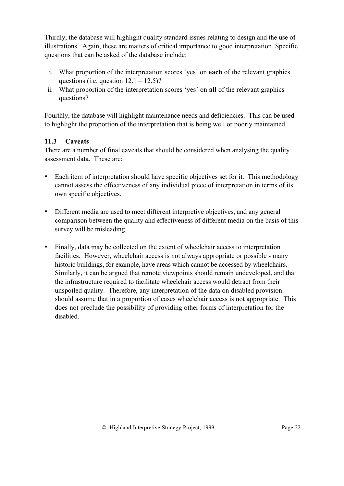Thirdly, the database will highlight quality standard issues relating to design and the use of illustrations. Again, these are matters of critical importance to good interpretation. Specific questions that can be asked of the database include:

- i. What proportion of the interpretation scores 'yes' on **each** of the relevant graphics questions (i.e. question  $12.1 - 12.5$ )?
- ii. What proportion of the interpretation scores 'yes' on **all** of the relevant graphics questions?

Fourthly, the database will highlight maintenance needs and deficiencies. This can be used to highlight the proportion of the interpretation that is being well or poorly maintained.

### **11.3 Caveats**

There are a number of final caveats that should be considered when analysing the quality assessment data. These are:

- Each item of interpretation should have specific objectives set for it. This methodology cannot assess the effectiveness of any individual piece of interpretation in terms of its own specific objectives.
- Different media are used to meet different interpretive objectives, and any general comparison between the quality and effectiveness of different media on the basis of this survey will be misleading.
- Finally, data may be collected on the extent of wheelchair access to interpretation facilities. However, wheelchair access is not always appropriate or possible - many historic buildings, for example, have areas which cannot be accessed by wheelchairs. Similarly, it can be argued that remote viewpoints should remain undeveloped, and that the infrastructure required to facilitate wheelchair access would detract from their unspoiled quality. Therefore, any interpretation of the data on disabled provision should assume that in a proportion of cases wheelchair access is not appropriate. This does not preclude the possibility of providing other forms of interpretation for the disabled.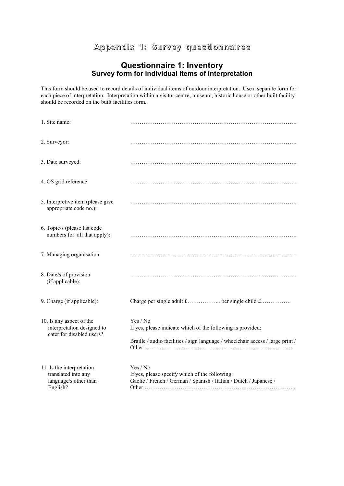# **Appendix 1: Survey questionnaires**

#### **Questionnaire 1: Inventory Survey form for individual items of interpretation**

This form should be used to record details of individual items of outdoor interpretation. Use a separate form for each piece of interpretation. Interpretation within a visitor centre, museum, historic house or other built facility should be recorded on the built facilities form.

| 1. Site name:                                                                         |                                                                                                                                                           |
|---------------------------------------------------------------------------------------|-----------------------------------------------------------------------------------------------------------------------------------------------------------|
| 2. Surveyor:                                                                          |                                                                                                                                                           |
| 3. Date surveyed:                                                                     |                                                                                                                                                           |
| 4. OS grid reference:                                                                 |                                                                                                                                                           |
| 5. Interpretive item (please give<br>appropriate code no.):                           |                                                                                                                                                           |
| 6. Topic/s (please list code<br>numbers for all that apply):                          |                                                                                                                                                           |
| 7. Managing organisation:                                                             |                                                                                                                                                           |
| 8. Date/s of provision<br>(if applicable):                                            |                                                                                                                                                           |
| 9. Charge (if applicable):                                                            |                                                                                                                                                           |
| 10. Is any aspect of the<br>interpretation designed to<br>cater for disabled users?   | Yes / No<br>If yes, please indicate which of the following is provided:<br>Braille / audio facilities / sign language / wheelchair access / large print / |
| 11. Is the interpretation<br>translated into any<br>language/s other than<br>English? | Yes / No<br>If yes, please specify which of the following:<br>Gaelic / French / German / Spanish / Italian / Dutch / Japanese /                           |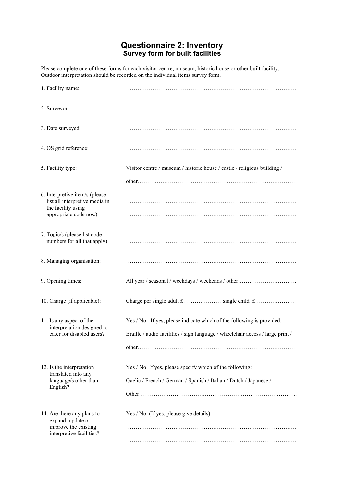### **Questionnaire 2: Inventory Survey form for built facilities**

Please complete one of these forms for each visitor centre, museum, historic house or other built facility. Outdoor interpretation should be recorded on the individual items survey form.

| 1. Facility name:                                                                      |                                                                                |
|----------------------------------------------------------------------------------------|--------------------------------------------------------------------------------|
| 2. Surveyor:                                                                           |                                                                                |
| 3. Date surveyed:                                                                      |                                                                                |
| 4. OS grid reference:                                                                  |                                                                                |
| 5. Facility type:                                                                      | Visitor centre / museum / historic house / castle / religious building /       |
|                                                                                        |                                                                                |
| 6. Interpretive item/s (please<br>list all interpretive media in<br>the facility using |                                                                                |
| appropriate code nos.):                                                                |                                                                                |
| 7. Topic/s (please list code<br>numbers for all that apply):                           |                                                                                |
| 8. Managing organisation:                                                              |                                                                                |
| 9. Opening times:                                                                      | All year / seasonal / weekdays / weekends / other                              |
| 10. Charge (if applicable):                                                            |                                                                                |
| 11. Is any aspect of the<br>interpretation designed to                                 | Yes / No If yes, please indicate which of the following is provided:           |
| cater for disabled users?                                                              | Braille / audio facilities / sign language / wheelchair access / large print / |
|                                                                                        |                                                                                |
| 12. Is the interpretation<br>translated into any                                       | Yes / No If yes, please specify which of the following:                        |
| language/s other than<br>English?                                                      | Gaelic / French / German / Spanish / Italian / Dutch / Japanese /              |
|                                                                                        |                                                                                |
| 14. Are there any plans to<br>expand, update or                                        | Yes / No (If yes, please give details)                                         |
| improve the existing<br>interpretive facilities?                                       |                                                                                |
|                                                                                        |                                                                                |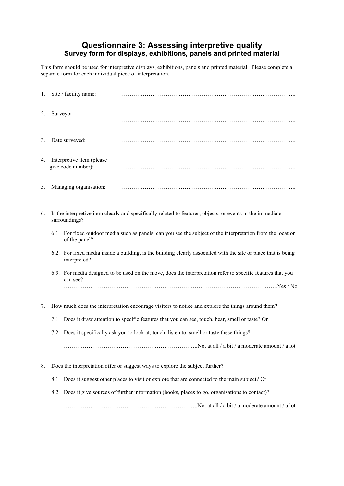### **Questionnaire 3: Assessing interpretive quality Survey form for displays, exhibitions, panels and printed material**

This form should be used for interpretive displays, exhibitions, panels and printed material. Please complete a separate form for each individual piece of interpretation.

| 1. | Site / facility name:                           |                                                                                                                 |
|----|-------------------------------------------------|-----------------------------------------------------------------------------------------------------------------|
| 2. | Surveyor:                                       |                                                                                                                 |
| 3. | Date surveyed:                                  |                                                                                                                 |
| 4. | Interpretive item (please<br>give code number): |                                                                                                                 |
| 5. | Managing organisation:                          |                                                                                                                 |
| 6. | surroundings?                                   | Is the interpretive item clearly and specifically related to features, objects, or events in the immediate      |
|    | of the panel?                                   | 6.1. For fixed outdoor media such as panels, can you see the subject of the interpretation from the location    |
|    | interpreted?                                    | 6.2. For fixed media inside a building, is the building clearly associated with the site or place that is being |
|    | can see?                                        | 6.3. For media designed to be used on the move, does the interpretation refer to specific features that you     |
|    |                                                 |                                                                                                                 |
| 7. |                                                 | How much does the interpretation encourage visitors to notice and explore the things around them?               |
|    |                                                 | 7.1. Does it draw attention to specific features that you can see, touch, hear, smell or taste? Or              |
|    |                                                 | 7.2. Does it specifically ask you to look at, touch, listen to, smell or taste these things?                    |
|    |                                                 |                                                                                                                 |
| 8. |                                                 | Does the interpretation offer or suggest ways to explore the subject further?                                   |
|    |                                                 | 8.1. Does it suggest other places to visit or explore that are connected to the main subject? Or                |
|    |                                                 | 8.2. Does it give sources of further information (books, places to go, organisations to contact)?               |
|    |                                                 |                                                                                                                 |
|    |                                                 |                                                                                                                 |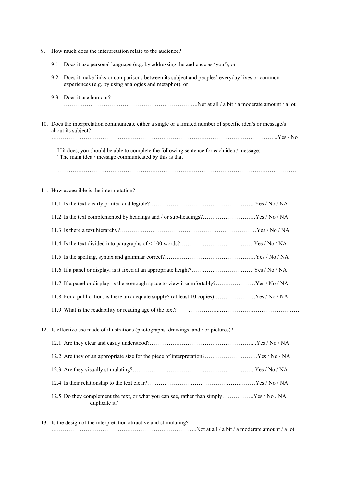| 9. | How much does the interpretation relate to the audience?                                                                                                   |
|----|------------------------------------------------------------------------------------------------------------------------------------------------------------|
|    | 9.1. Does it use personal language (e.g. by addressing the audience as 'you'), or                                                                          |
|    | 9.2. Does it make links or comparisons between its subject and peoples' everyday lives or common<br>experiences (e.g. by using analogies and metaphor), or |
|    | 9.3. Does it use humour?                                                                                                                                   |
|    | 10. Does the interpretation communicate either a single or a limited number of specific idea/s or message/s<br>about its subject?                          |
|    | If it does, you should be able to complete the following sentence for each idea / message:<br>"The main idea / message communicated by this is that        |
|    |                                                                                                                                                            |
|    | 11. How accessible is the interpretation?                                                                                                                  |
|    |                                                                                                                                                            |
|    | 11.2. Is the text complemented by headings and / or sub-headings?Yes / No / NA                                                                             |
|    |                                                                                                                                                            |
|    |                                                                                                                                                            |
|    |                                                                                                                                                            |
|    | 11.6. If a panel or display, is it fixed at an appropriate height?Yes / No / NA                                                                            |
|    | 11.7. If a panel or display, is there enough space to view it comfortably?Yes / No / NA                                                                    |
|    | 11.8. For a publication, is there an adequate supply? (at least 10 copies)Yes / No / NA                                                                    |
|    | 11.9. What is the readability or reading age of the text?                                                                                                  |
|    | 12. Is effective use made of illustrations (photographs, drawings, and / or pictures)?                                                                     |
|    |                                                                                                                                                            |
|    | 12.2. Are they of an appropriate size for the piece of interpretation?Yes / No / NA                                                                        |
|    |                                                                                                                                                            |
|    |                                                                                                                                                            |
|    | 12.5. Do they complement the text, or what you can see, rather than simplyYes / No / NA<br>duplicate it?                                                   |
|    | 13. Is the design of the interpretation attractive and stimulating?<br>Not at all / a bit / a moderate amount / a lot                                      |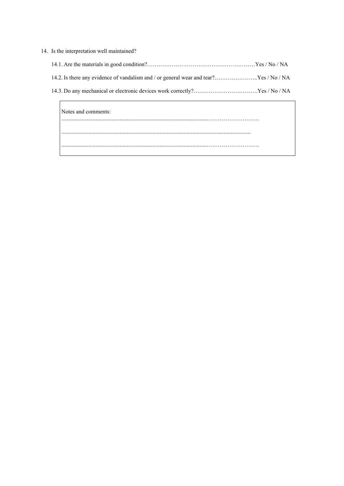| 14. Is the interpretation well maintained?                                            |  |
|---------------------------------------------------------------------------------------|--|
|                                                                                       |  |
| 14.2. Is there any evidence of vandalism and / or general wear and tear?Yes / No / NA |  |
|                                                                                       |  |
| Notes and comments:                                                                   |  |
|                                                                                       |  |

......................................................................................................……………………….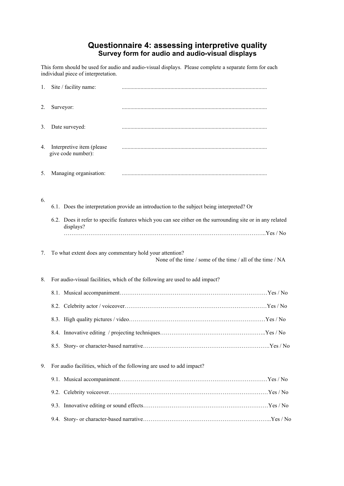### **Questionnaire 4: assessing interpretive quality Survey form for audio and audio-visual displays**

This form should be used for audio and audio-visual displays. Please complete a separate form for each individual piece of interpretation.

| 1. | Site / facility name:                                   |                                                                                                            |
|----|---------------------------------------------------------|------------------------------------------------------------------------------------------------------------|
| 2. | Surveyor:                                               |                                                                                                            |
| 3. | Date surveyed:                                          |                                                                                                            |
| 4. | Interpretive item (please<br>give code number):         |                                                                                                            |
| 5. | Managing organisation:                                  |                                                                                                            |
| 6. |                                                         | 6.1. Does the interpretation provide an introduction to the subject being interpreted? Or                  |
|    | displays?                                               | 6.2. Does it refer to specific features which you can see either on the surrounding site or in any related |
| 7. | To what extent does any commentary hold your attention? | None of the time / some of the time / all of the time / NA                                                 |
| 8. |                                                         | For audio-visual facilities, which of the following are used to add impact?                                |
|    |                                                         |                                                                                                            |
|    |                                                         |                                                                                                            |
|    |                                                         |                                                                                                            |
|    |                                                         |                                                                                                            |
| 9. |                                                         | For audio facilities, which of the following are used to add impact?                                       |
|    |                                                         |                                                                                                            |
|    |                                                         |                                                                                                            |
|    |                                                         |                                                                                                            |
|    |                                                         |                                                                                                            |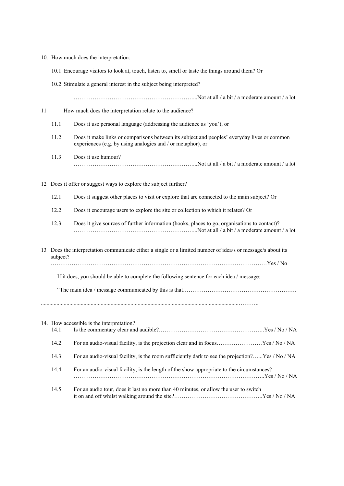- 10. How much does the interpretation:
	- 10.1. Encourage visitors to look at, touch, listen to, smell or taste the things around them? Or
	- 10.2. Stimulate a general interest in the subject being interpreted?

………………………………………………………...Not at all / a bit / a moderate amount / a lot

- 11 How much does the interpretation relate to the audience?
	- 11.1 Does it use personal language (addressing the audience as 'you'), or
	- 11.2 Does it make links or comparisons between its subject and peoples' everyday lives or common experiences (e.g. by using analogies and / or metaphor), or
	- 11.3 Does it use humour? ………………………………………………………...Not at all / a bit / a moderate amount / a lot
- 12 Does it offer or suggest ways to explore the subject further?
	- 12.1 Does it suggest other places to visit or explore that are connected to the main subject? Or
	- 12.2 Does it encourage users to explore the site or collection to which it relates? Or
	- 12.3 Does it give sources of further information (books, places to go, organisations to contact)? ………………………………………………………...Not at all / a bit / a moderate amount / a lot
- 13 Does the interpretation communicate either a single or a limited number of idea/s or message/s about its subject?

……………………………………………………………………………………………………Yes / No

If it does, you should be able to complete the following sentence for each idea / message:

"The main idea / message communicated by this is that……………………………………………………

|       | 14. How accessible is the interpretation?                                                       |
|-------|-------------------------------------------------------------------------------------------------|
| 14.1. |                                                                                                 |
| 14.2. | For an audio-visual facility, is the projection clear and in focusYes / No / NA                 |
| 14.3. | For an audio-visual facility, is the room sufficiently dark to see the projection?Yes / No / NA |
| 14.4. | For an audio-visual facility, is the length of the show appropriate to the circumstances?       |
| 14.5. | For an audio tour, does it last no more than 40 minutes, or allow the user to switch            |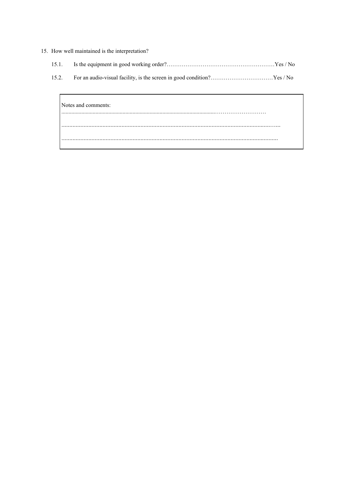#### 15. How well maintained is the interpretation?

|--|--|--|

 $15.2.$ 

| Notes and comments:<br> |   |
|-------------------------|---|
|                         | . |
|                         |   |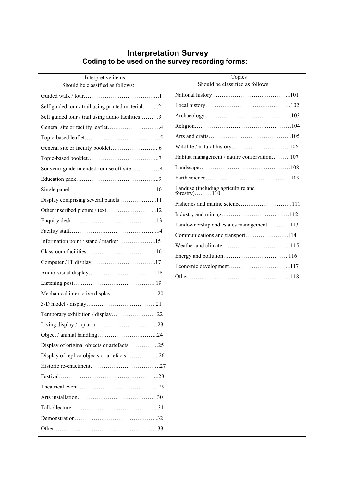### **Interpretation Survey Coding to be used on the survey recording forms:**

| Interpretive items<br>Should be classified as follows: |
|--------------------------------------------------------|
|                                                        |
| Self guided tour / trail using printed material2       |
| Self guided tour / trail using audio facilities3       |
|                                                        |
|                                                        |
|                                                        |
|                                                        |
|                                                        |
|                                                        |
|                                                        |
| Display comprising several panels11                    |
| Other inscribed picture / text12                       |
|                                                        |
|                                                        |
| Information point / stand / marker15                   |
|                                                        |
|                                                        |
|                                                        |
|                                                        |
| Mechanical interactive display20                       |
|                                                        |
| Temporary exhibition / display22                       |
|                                                        |
|                                                        |
| Display of original objects or artefacts25             |
| Display of replica objects or artefacts26              |
|                                                        |
|                                                        |
|                                                        |
|                                                        |
|                                                        |
|                                                        |
|                                                        |
|                                                        |

| Topics<br>Should be classified as follows:         |
|----------------------------------------------------|
|                                                    |
|                                                    |
|                                                    |
|                                                    |
|                                                    |
|                                                    |
| Habitat management / nature conservation107        |
|                                                    |
|                                                    |
| Landuse (including agriculture and<br>forestry)110 |
| Fisheries and marine science111                    |
|                                                    |
| Landownership and estates management113            |
| Communications and transport114                    |
|                                                    |
|                                                    |
|                                                    |
|                                                    |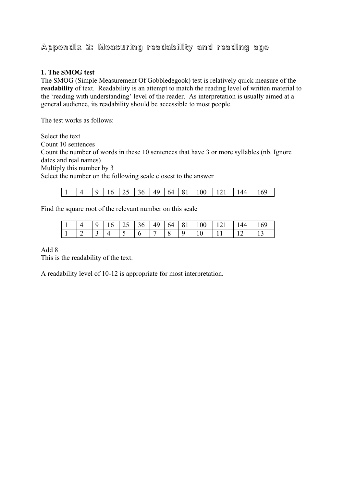# **Appendix 2: Measuring readability and reading age**

#### **1. The SMOG test**

The SMOG (Simple Measurement Of Gobbledegook) test is relatively quick measure of the **readability** of text. Readability is an attempt to match the reading level of written material to the 'reading with understanding' level of the reader. As interpretation is usually aimed at a general audience, its readability should be accessible to most people.

The test works as follows:

Select the text

Count 10 sentences

Count the number of words in these 10 sentences that have 3 or more syllables (nb. Ignore dates and real names)

Multiply this number by 3

Select the number on the following scale closest to the answer

|--|

Find the square root of the relevant number on this scale

|  |                                                             |  |  |  | $16 \mid 25 \mid 36 \mid 49 \mid 64 \mid 81 \mid 100 \mid 121 \mid 144$ |  |
|--|-------------------------------------------------------------|--|--|--|-------------------------------------------------------------------------|--|
|  | $\begin{array}{c} \begin{array}{c} \end{array} \end{array}$ |  |  |  |                                                                         |  |

Add 8

This is the readability of the text.

A readability level of 10-12 is appropriate for most interpretation.